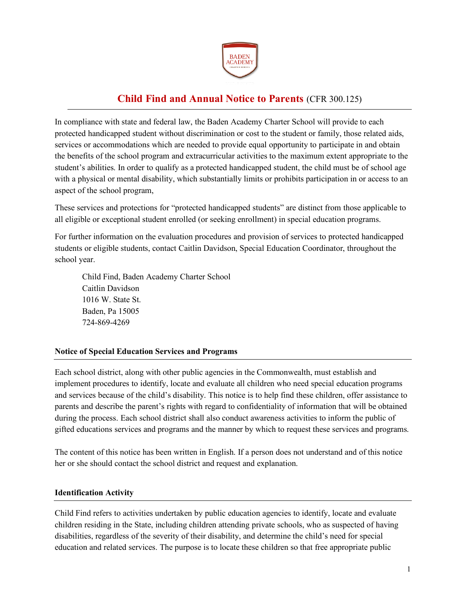

# **Child Find and Annual Notice to Parents** (CFR 300.125)

In compliance with state and federal law, the Baden Academy Charter School will provide to each protected handicapped student without discrimination or cost to the student or family, those related aids, services or accommodations which are needed to provide equal opportunity to participate in and obtain the benefits of the school program and extracurricular activities to the maximum extent appropriate to the student's abilities. In order to qualify as a protected handicapped student, the child must be of school age with a physical or mental disability, which substantially limits or prohibits participation in or access to an aspect of the school program,

These services and protections for "protected handicapped students" are distinct from those applicable to all eligible or exceptional student enrolled (or seeking enrollment) in special education programs.

For further information on the evaluation procedures and provision of services to protected handicapped students or eligible students, contact Caitlin Davidson, Special Education Coordinator, throughout the school year.

Child Find, Baden Academy Charter School Caitlin Davidson 1016 W. State St. Baden, Pa 15005 724-869-4269

# **Notice of Special Education Services and Programs**

Each school district, along with other public agencies in the Commonwealth, must establish and implement procedures to identify, locate and evaluate all children who need special education programs and services because of the child's disability. This notice is to help find these children, offer assistance to parents and describe the parent's rights with regard to confidentiality of information that will be obtained during the process. Each school district shall also conduct awareness activities to inform the public of gifted educations services and programs and the manner by which to request these services and programs.

The content of this notice has been written in English. If a person does not understand and of this notice her or she should contact the school district and request and explanation.

#### **Identification Activity**

Child Find refers to activities undertaken by public education agencies to identify, locate and evaluate children residing in the State, including children attending private schools, who as suspected of having disabilities, regardless of the severity of their disability, and determine the child's need for special education and related services. The purpose is to locate these children so that free appropriate public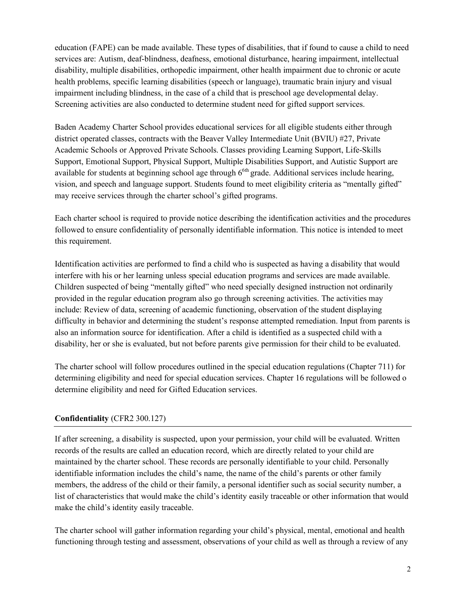education (FAPE) can be made available. These types of disabilities, that if found to cause a child to need services are: Autism, deaf-blindness, deafness, emotional disturbance, hearing impairment, intellectual disability, multiple disabilities, orthopedic impairment, other health impairment due to chronic or acute health problems, specific learning disabilities (speech or language), traumatic brain injury and visual impairment including blindness, in the case of a child that is preschool age developmental delay. Screening activities are also conducted to determine student need for gifted support services.

Baden Academy Charter School provides educational services for all eligible students either through district operated classes, contracts with the Beaver Valley Intermediate Unit (BVIU) #27, Private Academic Schools or Approved Private Schools. Classes providing Learning Support, Life-Skills Support, Emotional Support, Physical Support, Multiple Disabilities Support, and Autistic Support are available for students at beginning school age through  $6<sup>6</sup>$  grade. Additional services include hearing, vision, and speech and language support. Students found to meet eligibility criteria as "mentally gifted" may receive services through the charter school's gifted programs.

Each charter school is required to provide notice describing the identification activities and the procedures followed to ensure confidentiality of personally identifiable information. This notice is intended to meet this requirement.

Identification activities are performed to find a child who is suspected as having a disability that would interfere with his or her learning unless special education programs and services are made available. Children suspected of being "mentally gifted" who need specially designed instruction not ordinarily provided in the regular education program also go through screening activities. The activities may include: Review of data, screening of academic functioning, observation of the student displaying difficulty in behavior and determining the student's response attempted remediation. Input from parents is also an information source for identification. After a child is identified as a suspected child with a disability, her or she is evaluated, but not before parents give permission for their child to be evaluated.

The charter school will follow procedures outlined in the special education regulations (Chapter 711) for determining eligibility and need for special education services. Chapter 16 regulations will be followed o determine eligibility and need for Gifted Education services.

### **Confidentiality** (CFR2 300.127)

If after screening, a disability is suspected, upon your permission, your child will be evaluated. Written records of the results are called an education record, which are directly related to your child are maintained by the charter school. These records are personally identifiable to your child. Personally identifiable information includes the child's name, the name of the child's parents or other family members, the address of the child or their family, a personal identifier such as social security number, a list of characteristics that would make the child's identity easily traceable or other information that would make the child's identity easily traceable.

The charter school will gather information regarding your child's physical, mental, emotional and health functioning through testing and assessment, observations of your child as well as through a review of any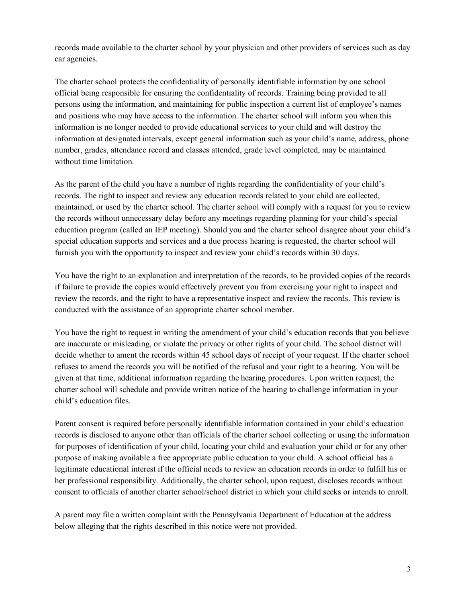records made available to the charter school by your physician and other providers of services such as day car agencies.

The charter school protects the confidentiality of personally identifiable information by one school official being responsible for ensuring the confidentiality of records. Training being provided to all persons using the information, and maintaining for public inspection a current list of employee's names and positions who may have access to the information. The charter school will inform you when this information is no longer needed to provide educational services to your child and will destroy the information at designated intervals, except general information such as your child's name, address, phone number, grades, attendance record and classes attended, grade level completed, may be maintained without time limitation.

As the parent of the child you have a number of rights regarding the confidentiality of your child's records. The right to inspect and review any education records related to your child are collected, maintained, or used by the charter school. The charter school will comply with a request for you to review the records without unnecessary delay before any meetings regarding planning for your child's special education program (called an IEP meeting). Should you and the charter school disagree about your child's special education supports and services and a due process hearing is requested, the charter school will furnish you with the opportunity to inspect and review your child's records within 30 days.

You have the right to an explanation and interpretation of the records, to be provided copies of the records if failure to provide the copies would effectively prevent you from exercising your right to inspect and review the records, and the right to have a representative inspect and review the records. This review is conducted with the assistance of an appropriate charter school member.

You have the right to request in writing the amendment of your child's education records that you believe are inaccurate or misleading, or violate the privacy or other rights of your child. The school district will decide whether to ament the records within 45 school days of receipt of your request. If the charter school refuses to amend the records you will be notified of the refusal and your right to a hearing. You will be given at that time, additional information regarding the hearing procedures. Upon written request, the charter school will schedule and provide written notice of the hearing to challenge information in your child's education files.

Parent consent is required before personally identifiable information contained in your child's education records is disclosed to anyone other than officials of the charter school collecting or using the information for purposes of identification of your child, locating your child and evaluation your child or for any other purpose of making available a free appropriate public education to your child. A school official has a legitimate educational interest if the official needs to review an education records in order to fulfill his or her professional responsibility. Additionally, the charter school, upon request, discloses records without consent to officials of another charter school/school district in which your child seeks or intends to enroll.

A parent may file a written complaint with the Pennsylvania Department of Education at the address below alleging that the rights described in this notice were not provided.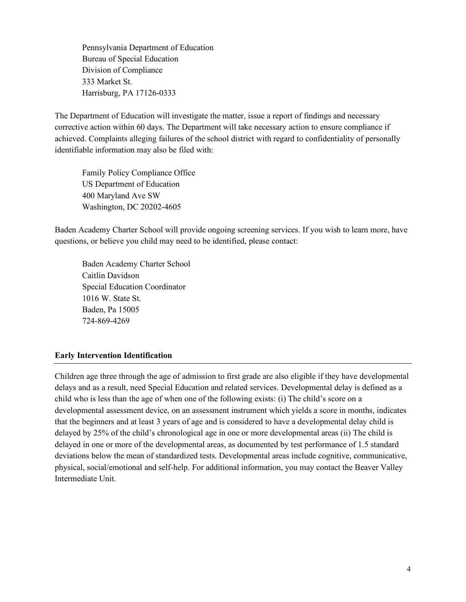Pennsylvania Department of Education Bureau of Special Education Division of Compliance 333 Market St. Harrisburg, PA 17126-0333

The Department of Education will investigate the matter, issue a report of findings and necessary corrective action within 60 days. The Department will take necessary action to ensure compliance if achieved. Complaints alleging failures of the school district with regard to confidentiality of personally identifiable information may also be filed with:

Family Policy Compliance Office US Department of Education 400 Maryland Ave SW Washington, DC 20202-4605

Baden Academy Charter School will provide ongoing screening services. If you wish to learn more, have questions, or believe you child may need to be identified, please contact:

Baden Academy Charter School Caitlin Davidson Special Education Coordinator 1016 W. State St. Baden, Pa 15005 724-869-4269

### **Early Intervention Identification**

Children age three through the age of admission to first grade are also eligible if they have developmental delays and as a result, need Special Education and related services. Developmental delay is defined as a child who is less than the age of when one of the following exists: (i) The child's score on a developmental assessment device, on an assessment instrument which yields a score in months, indicates that the beginners and at least 3 years of age and is considered to have a developmental delay child is delayed by 25% of the child's chronological age in one or more developmental areas (ii) The child is delayed in one or more of the developmental areas, as documented by test performance of 1.5 standard deviations below the mean of standardized tests. Developmental areas include cognitive, communicative, physical, social/emotional and self-help. For additional information, you may contact the Beaver Valley Intermediate Unit.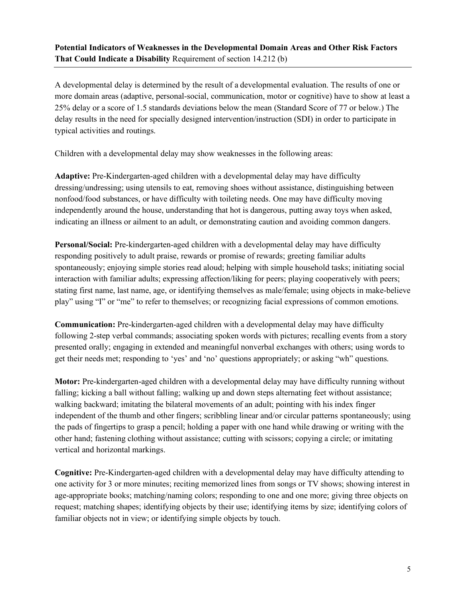# **Potential Indicators of Weaknesses in the Developmental Domain Areas and Other Risk Factors That Could Indicate a Disability** Requirement of section 14.212 (b)

A developmental delay is determined by the result of a developmental evaluation. The results of one or more domain areas (adaptive, personal-social, communication, motor or cognitive) have to show at least a 25% delay or a score of 1.5 standards deviations below the mean (Standard Score of 77 or below.) The delay results in the need for specially designed intervention/instruction (SDI) in order to participate in typical activities and routings.

Children with a developmental delay may show weaknesses in the following areas:

**Adaptive:** Pre-Kindergarten-aged children with a developmental delay may have difficulty dressing/undressing; using utensils to eat, removing shoes without assistance, distinguishing between nonfood/food substances, or have difficulty with toileting needs. One may have difficulty moving independently around the house, understanding that hot is dangerous, putting away toys when asked, indicating an illness or ailment to an adult, or demonstrating caution and avoiding common dangers.

**Personal/Social:** Pre-kindergarten-aged children with a developmental delay may have difficulty responding positively to adult praise, rewards or promise of rewards; greeting familiar adults spontaneously; enjoying simple stories read aloud; helping with simple household tasks; initiating social interaction with familiar adults; expressing affection/liking for peers; playing cooperatively with peers; stating first name, last name, age, or identifying themselves as male/female; using objects in make-believe play" using "I" or "me" to refer to themselves; or recognizing facial expressions of common emotions.

**Communication:** Pre-kindergarten-aged children with a developmental delay may have difficulty following 2-step verbal commands; associating spoken words with pictures; recalling events from a story presented orally; engaging in extended and meaningful nonverbal exchanges with others; using words to get their needs met; responding to 'yes' and 'no' questions appropriately; or asking "wh" questions.

**Motor:** Pre-kindergarten-aged children with a developmental delay may have difficulty running without falling; kicking a ball without falling; walking up and down steps alternating feet without assistance; walking backward; imitating the bilateral movements of an adult; pointing with his index finger independent of the thumb and other fingers; scribbling linear and/or circular patterns spontaneously; using the pads of fingertips to grasp a pencil; holding a paper with one hand while drawing or writing with the other hand; fastening clothing without assistance; cutting with scissors; copying a circle; or imitating vertical and horizontal markings.

**Cognitive:** Pre-Kindergarten-aged children with a developmental delay may have difficulty attending to one activity for 3 or more minutes; reciting memorized lines from songs or TV shows; showing interest in age-appropriate books; matching/naming colors; responding to one and one more; giving three objects on request; matching shapes; identifying objects by their use; identifying items by size; identifying colors of familiar objects not in view; or identifying simple objects by touch.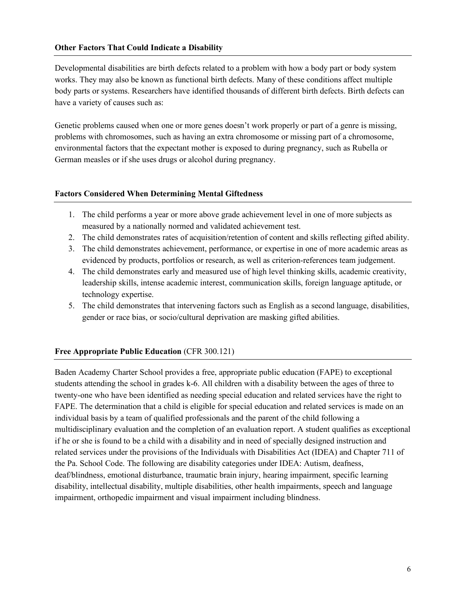#### **Other Factors That Could Indicate a Disability**

Developmental disabilities are birth defects related to a problem with how a body part or body system works. They may also be known as functional birth defects. Many of these conditions affect multiple body parts or systems. Researchers have identified thousands of different birth defects. Birth defects can have a variety of causes such as:

Genetic problems caused when one or more genes doesn't work properly or part of a genre is missing, problems with chromosomes, such as having an extra chromosome or missing part of a chromosome, environmental factors that the expectant mother is exposed to during pregnancy, such as Rubella or German measles or if she uses drugs or alcohol during pregnancy.

#### **Factors Considered When Determining Mental Giftedness**

- 1. The child performs a year or more above grade achievement level in one of more subjects as measured by a nationally normed and validated achievement test.
- 2. The child demonstrates rates of acquisition/retention of content and skills reflecting gifted ability.
- 3. The child demonstrates achievement, performance, or expertise in one of more academic areas as evidenced by products, portfolios or research, as well as criterion-references team judgement.
- 4. The child demonstrates early and measured use of high level thinking skills, academic creativity, leadership skills, intense academic interest, communication skills, foreign language aptitude, or technology expertise.
- 5. The child demonstrates that intervening factors such as English as a second language, disabilities, gender or race bias, or socio/cultural deprivation are masking gifted abilities.

#### **Free Appropriate Public Education** (CFR 300.121)

Baden Academy Charter School provides a free, appropriate public education (FAPE) to exceptional students attending the school in grades k-6. All children with a disability between the ages of three to twenty-one who have been identified as needing special education and related services have the right to FAPE. The determination that a child is eligible for special education and related services is made on an individual basis by a team of qualified professionals and the parent of the child following a multidisciplinary evaluation and the completion of an evaluation report. A student qualifies as exceptional if he or she is found to be a child with a disability and in need of specially designed instruction and related services under the provisions of the Individuals with Disabilities Act (IDEA) and Chapter 711 of the Pa. School Code. The following are disability categories under IDEA: Autism, deafness, deaf/blindness, emotional disturbance, traumatic brain injury, hearing impairment, specific learning disability, intellectual disability, multiple disabilities, other health impairments, speech and language impairment, orthopedic impairment and visual impairment including blindness.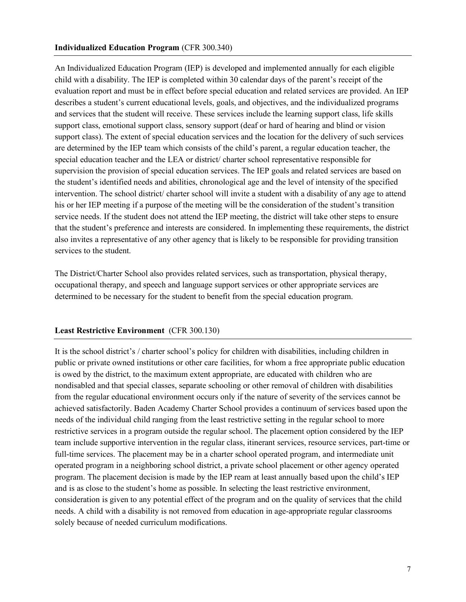#### **Individualized Education Program** (CFR 300.340)

An Individualized Education Program (IEP) is developed and implemented annually for each eligible child with a disability. The IEP is completed within 30 calendar days of the parent's receipt of the evaluation report and must be in effect before special education and related services are provided. An IEP describes a student's current educational levels, goals, and objectives, and the individualized programs and services that the student will receive. These services include the learning support class, life skills support class, emotional support class, sensory support (deaf or hard of hearing and blind or vision support class). The extent of special education services and the location for the delivery of such services are determined by the IEP team which consists of the child's parent, a regular education teacher, the special education teacher and the LEA or district/ charter school representative responsible for supervision the provision of special education services. The IEP goals and related services are based on the student's identified needs and abilities, chronological age and the level of intensity of the specified intervention. The school district/ charter school will invite a student with a disability of any age to attend his or her IEP meeting if a purpose of the meeting will be the consideration of the student's transition service needs. If the student does not attend the IEP meeting, the district will take other steps to ensure that the student's preference and interests are considered. In implementing these requirements, the district also invites a representative of any other agency that is likely to be responsible for providing transition services to the student.

The District/Charter School also provides related services, such as transportation, physical therapy, occupational therapy, and speech and language support services or other appropriate services are determined to be necessary for the student to benefit from the special education program.

#### **Least Restrictive Environment** (CFR 300.130)

It is the school district's / charter school's policy for children with disabilities, including children in public or private owned institutions or other care facilities, for whom a free appropriate public education is owed by the district, to the maximum extent appropriate, are educated with children who are nondisabled and that special classes, separate schooling or other removal of children with disabilities from the regular educational environment occurs only if the nature of severity of the services cannot be achieved satisfactorily. Baden Academy Charter School provides a continuum of services based upon the needs of the individual child ranging from the least restrictive setting in the regular school to more restrictive services in a program outside the regular school. The placement option considered by the IEP team include supportive intervention in the regular class, itinerant services, resource services, part-time or full-time services. The placement may be in a charter school operated program, and intermediate unit operated program in a neighboring school district, a private school placement or other agency operated program. The placement decision is made by the IEP ream at least annually based upon the child's IEP and is as close to the student's home as possible. In selecting the least restrictive environment, consideration is given to any potential effect of the program and on the quality of services that the child needs. A child with a disability is not removed from education in age-appropriate regular classrooms solely because of needed curriculum modifications.